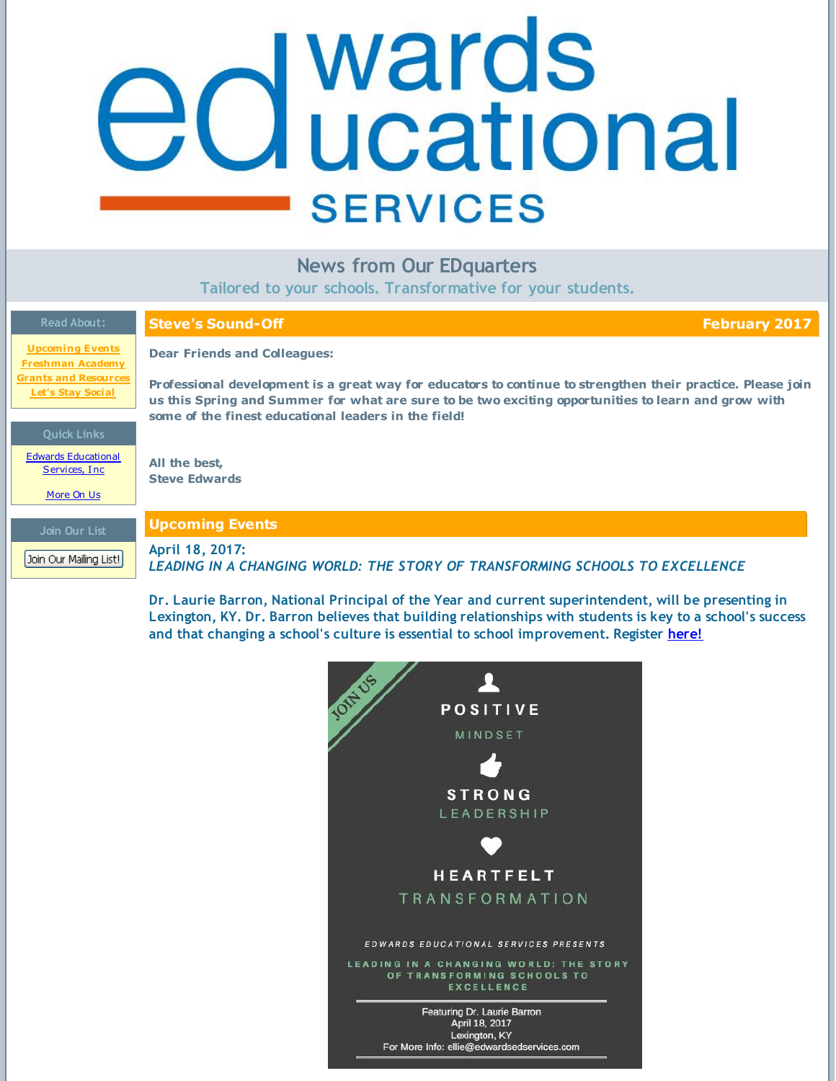# <span id="page-0-0"></span>**d** wards<br>**d** ucational **SERVICES**

# **News from Our EDquarters**

**Tailored to your schools. Transformative for your students.**

| <b>Read About:</b>                                      | <b>Steve's Sound-Off</b><br><b>February 2017</b>                                                                                                                                                                                                                           |
|---------------------------------------------------------|----------------------------------------------------------------------------------------------------------------------------------------------------------------------------------------------------------------------------------------------------------------------------|
| <b>Upcoming Events</b><br><b>Freshman Academy</b>       | <b>Dear Friends and Colleagues:</b>                                                                                                                                                                                                                                        |
| <b>Grants and Resources</b><br><b>Let's Stay Social</b> | Professional development is a great way for educators to continue to strengthen their practice. Please join<br>us this Spring and Summer for what are sure to be two exciting opportunities to learn and grow with<br>some of the finest educational leaders in the field! |
| <b>Quick Links</b>                                      |                                                                                                                                                                                                                                                                            |
| <b>Edwards Educational</b><br>Services, Inc.            | All the best,<br><b>Steve Edwards</b>                                                                                                                                                                                                                                      |
| More On Us                                              |                                                                                                                                                                                                                                                                            |
| Join Our List                                           | <b>Upcoming Events</b>                                                                                                                                                                                                                                                     |
| Join Our Mailing List!                                  | April 18, 2017:<br>LEADING IN A CHANGING WORLD: THE STORY OF TRANSFORMING SCHOOLS TO EXCELLENCE                                                                                                                                                                            |

**Dr. Laurie Barron, National Principal of the Year and current superintendent, will be presenting in Lexington, KY. Dr. Barron believes that building relationships with students is key to a school's success and that changing a school's culture is essential to school improvement. Register [here!](http://media.wix.com/ugd/5afa51_3c9b6a3a5fec432694346c4de1b2fb0f.pdf)**

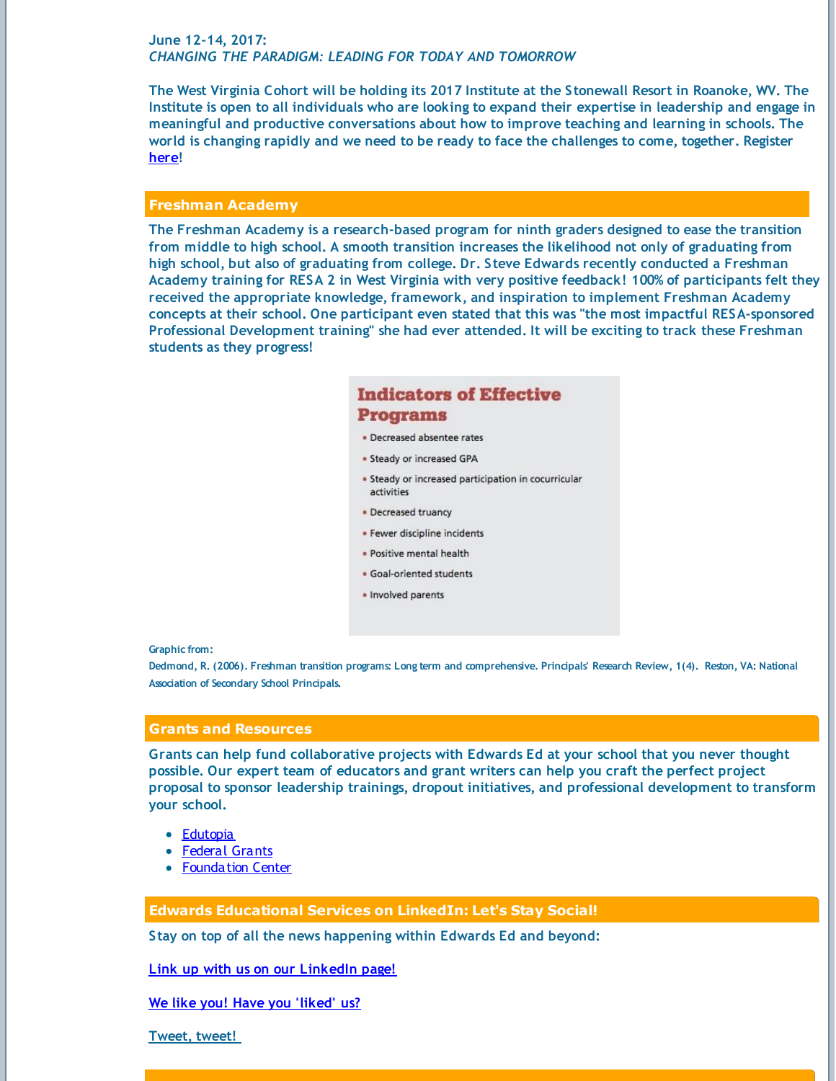# **June 12-14, 2017:** *CHANGING THE PARADIGM: LEADING FOR TODAY AND TOMORROW*

The West Virginia Cohort will be holding its 2017 Institute at the Stonewall Resort in Roanoke, WV. The Institute is open to all individuals who are looking to expand their expertise in leadership and engage in **meaningful and productive conversations about how to improve teaching and learning in schools. The** world is changing rapidly and we need to be ready to face the challenges to come, together. Register **[here](http://media.wix.com/ugd/5afa51_db18e4d0d638416798d8f57d2fdf0915.pdf)!**

# **Freshman Academy**

**The Freshman Academy is a research-based program for ninth graders designed to ease the transition from middle to high school. A smooth transition increases the likelihood not only of graduating from high school, but also of graduating from college. Dr. Steve Edwards recently conducted a Freshman Academy training for RESA 2 in West Virginia with very positive feedback! 100% of participants felt they received the appropriate knowledge, framework, and inspiration to implement Freshman Academy concepts at their school. One participant even stated that this was "the most impactful RESA-sponsored Professional Development training" she had ever attended. It will be exciting to track these Freshman students as they progress!**

# **Indicators of Effective Programs**

- · Decreased absentee rates
- · Steady or increased GPA
- Steady or increased participation in cocurricular activities
- Decreased truancy
- · Fewer discipline incidents
- · Positive mental health
- · Goal-oriented students
- · Involved parents

**Graphic from:**

Dedmond, R. (2006). Freshman transition programs: Long term and comprehensive. Principals' Research Review, 1(4). Reston, VA: National **Association of Secondary School Principals.**

# **Grants and Resources**

**Grants can help fund collaborative projects with Edwards Ed at your school that you never thought possible. Our expert team of educators and grant writers can help you craft the perfect project proposal to sponsor leadership trainings, dropout initiatives, and professional development to transform your school.**

- [Edutopia](https://www.edutopia.org/grants-and-resources)
- [Federal](https://www.grants.gov/) Grants
- **[Foundation](http://foundationcenter.org/find-funding) Center**

# **Edwards Educational Services on LinkedIn: Let's Stay Social!**

**Stay on top of all the news happening within Edwards Ed and beyond:**

**Link up with us on our [LinkedIn](http://www.linkedin.com/company/3213556?trk=NUS_DIG_CMPY-fol) page!**

### **We like you! Have you ['liked'](https://www.facebook.com/edwardsEDservices) us?**

**[Tweet,](http://twitter.com/#!/EDwardsEDserv) tweet!**